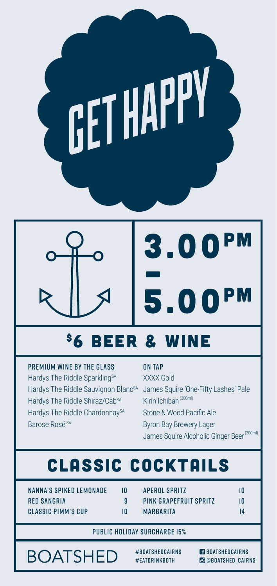



### \$6 BEER & WINE

PREMIUM WINE BY THE GLASS Hardys The Riddle Sparkling<sup>SA</sup> Hardys The Riddle Shiraz/Cab<sup>SA</sup> Hardys The Riddle ChardonnaySA

#### ON TAP

Hardys The Riddle Sauvignon Blanc<sup>sa</sup> James Squire 'One-Fifty Lashes' Pale XXXX Gold Kirin Ichiban (300ml) Stone & Wood Pacific Ale Byron Bay Brewery Lager James Squire Alcoholic Ginger Beer<sup>(300ml)</sup>

## CLASSIC COCKTAILS

NANNA'S SPIKED LEMONADE 10 RED SANGRIA 9 CLASSIC PIMM'S CUP 10

Barose Rosé SA

APEROL SPRITZ 10 PINK GRAPEFRUIT SPRITZ 10 MARGARITA 14

#### PUBLIC HOLIDAY SURCHARGE 15%

**BOATSHED** 

#BOATSHEDCAIRNS #EATDRINKBOTH

**BOATSHEDCAIRNS C** @BOATSHED CAIRNS